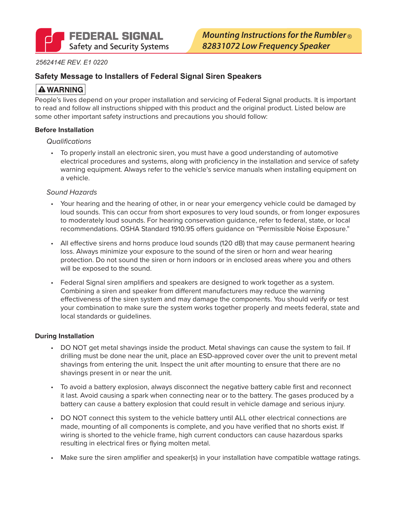#### *2562414E REV. E1 0220*

### **Safety Message to Installers of Federal Signal Siren Speakers**

## **A WARNING**

People's lives depend on your proper installation and servicing of Federal Signal products. It is important to read and follow all instructions shipped with this product and the original product. Listed below are some other important safety instructions and precautions you should follow:

#### **Before Installation**

#### *Qualifications*

• To properly install an electronic siren, you must have a good understanding of automotive electrical procedures and systems, along with proficiency in the installation and service of safety warning equipment. Always refer to the vehicle's service manuals when installing equipment on a vehicle.

#### *Sound Hazards*

- Your hearing and the hearing of other, in or near your emergency vehicle could be damaged by loud sounds. This can occur from short exposures to very loud sounds, or from longer exposures to moderately loud sounds. For hearing conservation guidance, refer to federal, state, or local recommendations. OSHA Standard 1910.95 offers guidance on "Permissible Noise Exposure."
- All effective sirens and horns produce loud sounds (120 dB) that may cause permanent hearing loss. Always minimize your exposure to the sound of the siren or horn and wear hearing protection. Do not sound the siren or horn indoors or in enclosed areas where you and others will be exposed to the sound.
- Federal Signal siren amplifiers and speakers are designed to work together as a system. Combining a siren and speaker from different manufacturers may reduce the warning effectiveness of the siren system and may damage the components. You should verify or test your combination to make sure the system works together properly and meets federal, state and local standards or guidelines.

#### **During Installation**

- DO NOT get metal shavings inside the product. Metal shavings can cause the system to fail. If drilling must be done near the unit, place an ESD-approved cover over the unit to prevent metal shavings from entering the unit. Inspect the unit after mounting to ensure that there are no shavings present in or near the unit.
- To avoid a battery explosion, always disconnect the negative battery cable first and reconnect it last. Avoid causing a spark when connecting near or to the battery. The gases produced by a battery can cause a battery explosion that could result in vehicle damage and serious injury.
- DO NOT connect this system to the vehicle battery until ALL other electrical connections are made, mounting of all components is complete, and you have verified that no shorts exist. If wiring is shorted to the vehicle frame, high current conductors can cause hazardous sparks resulting in electrical fires or flying molten metal.
- Make sure the siren amplifier and speaker(s) in your installation have compatible wattage ratings.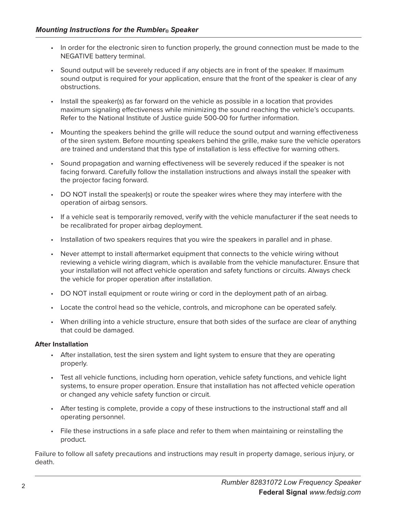- In order for the electronic siren to function properly, the ground connection must be made to the NEGATIVE battery terminal.
- Sound output will be severely reduced if any objects are in front of the speaker. If maximum sound output is required for your application, ensure that the front of the speaker is clear of any obstructions.
- Install the speaker(s) as far forward on the vehicle as possible in a location that provides maximum signaling effectiveness while minimizing the sound reaching the vehicle's occupants. Refer to the National Institute of Justice guide 500-00 for further information.
- Mounting the speakers behind the grille will reduce the sound output and warning effectiveness of the siren system. Before mounting speakers behind the grille, make sure the vehicle operators are trained and understand that this type of installation is less effective for warning others.
- Sound propagation and warning effectiveness will be severely reduced if the speaker is not facing forward. Carefully follow the installation instructions and always install the speaker with the projector facing forward.
- DO NOT install the speaker(s) or route the speaker wires where they may interfere with the operation of airbag sensors.
- If a vehicle seat is temporarily removed, verify with the vehicle manufacturer if the seat needs to be recalibrated for proper airbag deployment.
- Installation of two speakers requires that you wire the speakers in parallel and in phase.
- Never attempt to install aftermarket equipment that connects to the vehicle wiring without reviewing a vehicle wiring diagram, which is available from the vehicle manufacturer. Ensure that your installation will not affect vehicle operation and safety functions or circuits. Always check the vehicle for proper operation after installation.
- DO NOT install equipment or route wiring or cord in the deployment path of an airbag.
- Locate the control head so the vehicle, controls, and microphone can be operated safely.
- When drilling into a vehicle structure, ensure that both sides of the surface are clear of anything that could be damaged.

#### **After Installation**

- After installation, test the siren system and light system to ensure that they are operating properly.
- Test all vehicle functions, including horn operation, vehicle safety functions, and vehicle light systems, to ensure proper operation. Ensure that installation has not affected vehicle operation or changed any vehicle safety function or circuit.
- After testing is complete, provide a copy of these instructions to the instructional staff and all operating personnel.
- File these instructions in a safe place and refer to them when maintaining or reinstalling the product.

Failure to follow all safety precautions and instructions may result in property damage, serious injury, or death.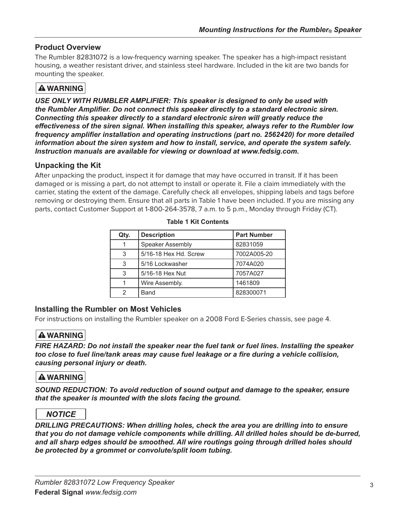## **Product Overview**

The Rumbler 82831072 is a low-frequency warning speaker. The speaker has a high-impact resistant housing, a weather resistant driver, and stainless steel hardware. Included in the kit are two bands for mounting the speaker.

# **A WARNING**

*USE ONLY WITH RUMBLER AMPLIFIER: This speaker is designed to only be used with the Rumbler Amplifier. Do not connect this speaker directly to a standard electronic siren. Connecting this speaker directly to a standard electronic siren will greatly reduce the effectiveness of the siren signal. When installing this speaker, always refer to the Rumbler low frequency amplifier installation and operating instructions (part no. 2562420) for more detailed information about the siren system and how to install, service, and operate the system safely. Instruction manuals are available for viewing or download at www.fedsig.com.*

### **Unpacking the Kit**

After unpacking the product, inspect it for damage that may have occurred in transit. If it has been damaged or is missing a part, do not attempt to install or operate it. File a claim immediately with the carrier, stating the extent of the damage. Carefully check all envelopes, shipping labels and tags before removing or destroying them. Ensure that all parts in Table 1 have been included. If you are missing any parts, contact Customer Support at 1-800-264-3578, 7 a.m. to 5 p.m., Monday through Friday (CT).

| Qty. | <b>Description</b>      | <b>Part Number</b> |  |  |
|------|-------------------------|--------------------|--|--|
|      | <b>Speaker Assembly</b> | 82831059           |  |  |
| 3    | 5/16-18 Hex Hd. Screw   | 7002A005-20        |  |  |
| 3    | 5/16 Lockwasher         | 7074A020           |  |  |
| 3    | 5/16-18 Hex Nut         | 7057A027           |  |  |
|      | Wire Assembly.          | 1461809            |  |  |
|      | Band                    | 828300071          |  |  |

**Table 1 Kit Contents**

### **Installing the Rumbler on Most Vehicles**

For instructions on installing the Rumbler speaker on a 2008 Ford E-Series chassis, see page 4.

## **A WARNING**

*FIRE HAZARD: Do not install the speaker near the fuel tank or fuel lines. Installing the speaker too close to fuel line/tank areas may cause fuel leakage or a fire during a vehicle collision, causing personal injury or death.*

## **A WARNING**

*SOUND REDUCTION: To avoid reduction of sound output and damage to the speaker, ensure that the speaker is mounted with the slots facing the ground.*

### **NOTICE**

*DRILLING PRECAUTIONS: When drilling holes, check the area you are drilling into to ensure that you do not damage vehicle components while drilling. All drilled holes should be de-burred, and all sharp edges should be smoothed. All wire routings going through drilled holes should be protected by a grommet or convolute/split loom tubing.*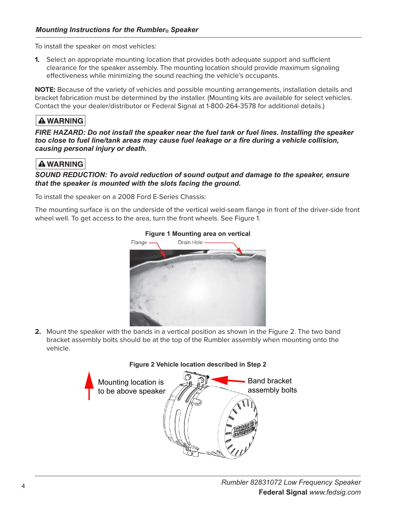To install the speaker on most vehicles:

**1.** Select an appropriate mounting location that provides both adequate support and sufficient clearance for the speaker assembly. The mounting location should provide maximum signaling effectiveness while minimizing the sound reaching the vehicle's occupants.

**NOTE:** Because of the variety of vehicles and possible mounting arrangements, installation details and bracket fabrication must be determined by the installer. (Mounting kits are available for select vehicles. Contact the your dealer/distributor or Federal Signal at 1-800-264-3578 for additional details.)

## **A WARNING**

*FIRE HAZARD: Do not install the speaker near the fuel tank or fuel lines. Installing the speaker too close to fuel line/tank areas may cause fuel leakage or a fire during a vehicle collision, causing personal injury or death.*

## **A WARNING**

#### *SOUND REDUCTION: To avoid reduction of sound output and damage to the speaker, ensure that the speaker is mounted with the slots facing the ground.*

To install the speaker on a 2008 Ford E-Series Chassis:

The mounting surface is on the underside of the vertical weld-seam flange in front of the driver-side front wheel well. To get access to the area, turn the front wheels. See Figure 1.



**2.** Mount the speaker with the bands in a vertical position as shown in the Figure 2. The two band bracket assembly bolts should be at the top of the Rumbler assembly when mounting onto the vehicle.



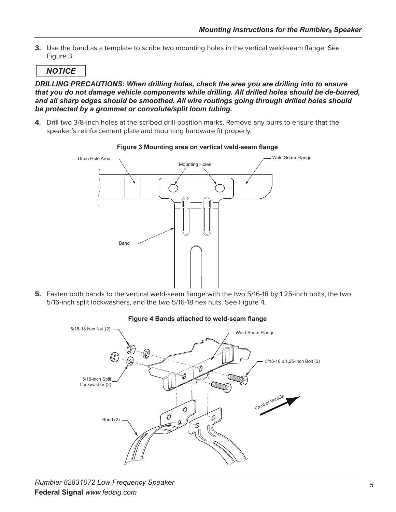**3.** Use the band as a template to scribe two mounting holes in the vertical weld-seam flange. See Figure 3.

### **NOTICE**

*DRILLING PRECAUTIONS: When drilling holes, check the area you are drilling into to ensure that you do not damage vehicle components while drilling. All drilled holes should be de-burred, and all sharp edges should be smoothed. All wire routings going through drilled holes should be protected by a grommet or convolute/split loom tubing.*

**4.** Drill two 3/8-inch holes at the scribed drill-position marks. Remove any burrs to ensure that the speaker's reinforcement plate and mounting hardware fit properly.



#### **Figure 3 Mounting area on vertical weld-seam flange**

5. Fasten both bands to the vertical weld-seam flange with the two 5/16-18 by 1.25-inch bolts, the two 5/16-inch split lockwashers, and the two 5/16-18 hex nuts. See Figure 4.



#### **Figure 4 Bands attached to weld-seam flange**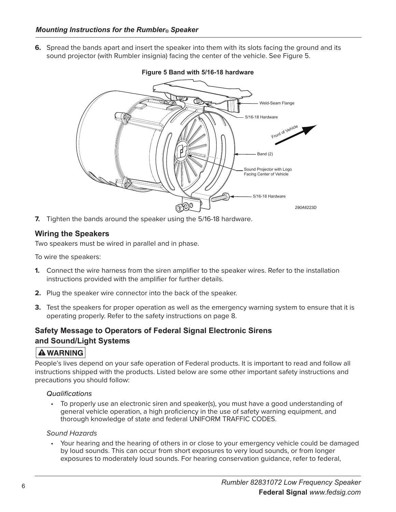**6.** Spread the bands apart and insert the speaker into them with its slots facing the ground and its sound projector (with Rumbler insignia) facing the center of the vehicle. See Figure 5.



#### **Figure 5 Band with 5/16-18 hardware**

**7.** Tighten the bands around the speaker using the 5/16-18 hardware.

### **Wiring the Speakers**

Two speakers must be wired in parallel and in phase.

To wire the speakers:

- **1.** Connect the wire harness from the siren amplifier to the speaker wires. Refer to the installation instructions provided with the amplifier for further details.
- **2.** Plug the speaker wire connector into the back of the speaker.
- **3.** Test the speakers for proper operation as well as the emergency warning system to ensure that it is operating properly. Refer to the safety instructions on page 8.

## **Safety Message to Operators of Federal Signal Electronic Sirens and Sound/Light Systems**

### **A WARNING**

People's lives depend on your safe operation of Federal products. It is important to read and follow all instructions shipped with the products. Listed below are some other important safety instructions and precautions you should follow:

#### *Qualifications*

• To properly use an electronic siren and speaker(s), you must have a good understanding of general vehicle operation, a high proficiency in the use of safety warning equipment, and thorough knowledge of state and federal UNIFORM TRAFFIC CODES.

#### *Sound Hazards*

• Your hearing and the hearing of others in or close to your emergency vehicle could be damaged by loud sounds. This can occur from short exposures to very loud sounds, or from longer exposures to moderately loud sounds. For hearing conservation guidance, refer to federal,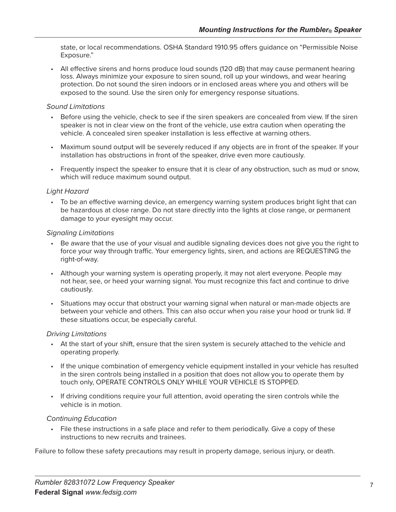state, or local recommendations. OSHA Standard 1910.95 offers guidance on "Permissible Noise Exposure."

• All effective sirens and horns produce loud sounds (120 dB) that may cause permanent hearing loss. Always minimize your exposure to siren sound, roll up your windows, and wear hearing protection. Do not sound the siren indoors or in enclosed areas where you and others will be exposed to the sound. Use the siren only for emergency response situations.

#### *Sound Limitations*

- Before using the vehicle, check to see if the siren speakers are concealed from view. If the siren speaker is not in clear view on the front of the vehicle, use extra caution when operating the vehicle. A concealed siren speaker installation is less effective at warning others.
- Maximum sound output will be severely reduced if any objects are in front of the speaker. If your installation has obstructions in front of the speaker, drive even more cautiously.
- Frequently inspect the speaker to ensure that it is clear of any obstruction, such as mud or snow, which will reduce maximum sound output.

#### *Light Hazard*

• To be an effective warning device, an emergency warning system produces bright light that can be hazardous at close range. Do not stare directly into the lights at close range, or permanent damage to your eyesight may occur.

#### *Signaling Limitations*

- Be aware that the use of your visual and audible signaling devices does not give you the right to force your way through traffic. Your emergency lights, siren, and actions are REQUESTING the right-of-way.
- Although your warning system is operating properly, it may not alert everyone. People may not hear, see, or heed your warning signal. You must recognize this fact and continue to drive cautiously.
- Situations may occur that obstruct your warning signal when natural or man-made objects are between your vehicle and others. This can also occur when you raise your hood or trunk lid. If these situations occur, be especially careful.

#### *Driving Limitations*

- At the start of your shift, ensure that the siren system is securely attached to the vehicle and operating properly.
- If the unique combination of emergency vehicle equipment installed in your vehicle has resulted in the siren controls being installed in a position that does not allow you to operate them by touch only, OPERATE CONTROLS ONLY WHILE YOUR VEHICLE IS STOPPED.
- If driving conditions require your full attention, avoid operating the siren controls while the vehicle is in motion.

#### *Continuing Education*

• File these instructions in a safe place and refer to them periodically. Give a copy of these instructions to new recruits and trainees.

Failure to follow these safety precautions may result in property damage, serious injury, or death.